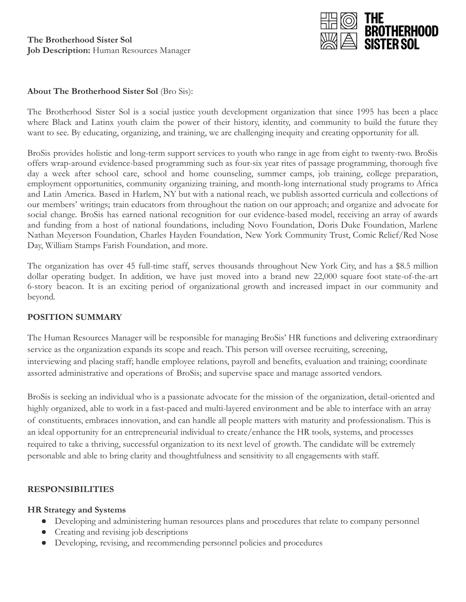

#### **About The Brotherhood Sister Sol** (Bro Sis):

The Brotherhood Sister Sol is a social justice youth development organization that since 1995 has been a place where Black and Latinx youth claim the power of their history, identity, and community to build the future they want to see. By educating, organizing, and training, we are challenging inequity and creating opportunity for all.

BroSis provides holistic and long-term support services to youth who range in age from eight to twenty-two. BroSis offers wrap-around evidence-based programming such as four-six year rites of passage programming, thorough five day a week after school care, school and home counseling, summer camps, job training, college preparation, employment opportunities, community organizing training, and month-long international study programs to Africa and Latin America. Based in Harlem, NY but with a national reach, we publish assorted curricula and collections of our members' writings; train educators from throughout the nation on our approach; and organize and advocate for social change. BroSis has earned national recognition for our evidence-based model, receiving an array of awards and funding from a host of national foundations, including Novo Foundation, Doris Duke Foundation, Marlene Nathan Meyerson Foundation, Charles Hayden Foundation, New York Community Trust, Comic Relief/Red Nose Day, William Stamps Farish Foundation, and more.

The organization has over 45 full-time staff, serves thousands throughout New York City, and has a \$8.5 million dollar operating budget. In addition, we have just moved into a brand new 22,000 square foot state-of-the-art 6-story beacon. It is an exciting period of organizational growth and increased impact in our community and beyond.

#### **POSITION SUMMARY**

The Human Resources Manager will be responsible for managing BroSis' HR functions and delivering extraordinary service as the organization expands its scope and reach. This person will oversee recruiting, screening, interviewing and placing staff; handle employee relations, payroll and benefits, evaluation and training; coordinate assorted administrative and operations of BroSis; and supervise space and manage assorted vendors.

BroSis is seeking an individual who is a passionate advocate for the mission of the organization, detail-oriented and highly organized, able to work in a fast-paced and multi-layered environment and be able to interface with an array of constituents, embraces innovation, and can handle all people matters with maturity and professionalism. This is an ideal opportunity for an entrepreneurial individual to create/enhance the HR tools, systems, and processes required to take a thriving, successful organization to its next level of growth. The candidate will be extremely personable and able to bring clarity and thoughtfulness and sensitivity to all engagements with staff.

### **RESPONSIBILITIES**

#### **HR Strategy and Systems**

- Developing and administering human resources plans and procedures that relate to company personnel
- Creating and revising job descriptions
- Developing, revising, and recommending personnel policies and procedures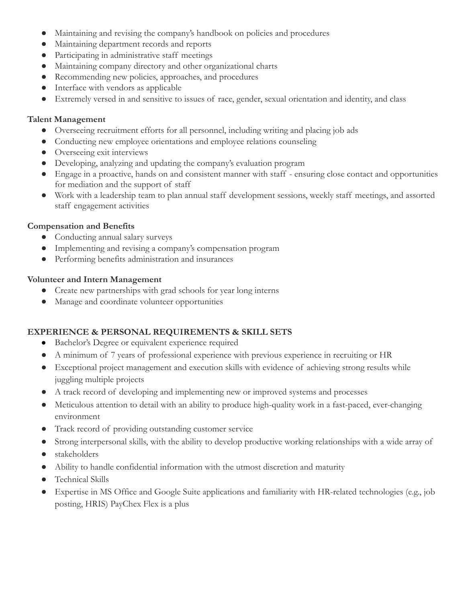- Maintaining and revising the company's handbook on policies and procedures
- Maintaining department records and reports
- Participating in administrative staff meetings
- Maintaining company directory and other organizational charts
- Recommending new policies, approaches, and procedures
- Interface with vendors as applicable
- Extremely versed in and sensitive to issues of race, gender, sexual orientation and identity, and class

## **Talent Management**

- Overseeing recruitment efforts for all personnel, including writing and placing job ads
- Conducting new employee orientations and employee relations counseling
- Overseeing exit interviews
- Developing, analyzing and updating the company's evaluation program
- Engage in a proactive, hands on and consistent manner with staff ensuring close contact and opportunities for mediation and the support of staff
- Work with a leadership team to plan annual staff development sessions, weekly staff meetings, and assorted staff engagement activities

## **Compensation and Benefits**

- Conducting annual salary surveys
- Implementing and revising a company's compensation program
- Performing benefits administration and insurances

## **Volunteer and Intern Management**

- Create new partnerships with grad schools for year long interns
- Manage and coordinate volunteer opportunities

# **EXPERIENCE & PERSONAL REQUIREMENTS & SKILL SETS**

- Bachelor's Degree or equivalent experience required
- A minimum of 7 years of professional experience with previous experience in recruiting or HR
- Exceptional project management and execution skills with evidence of achieving strong results while juggling multiple projects
- A track record of developing and implementing new or improved systems and processes
- Meticulous attention to detail with an ability to produce high-quality work in a fast-paced, ever-changing environment
- Track record of providing outstanding customer service
- Strong interpersonal skills, with the ability to develop productive working relationships with a wide array of
- stakeholders
- Ability to handle confidential information with the utmost discretion and maturity
- Technical Skills
- Expertise in MS Office and Google Suite applications and familiarity with HR-related technologies (e.g., job posting, HRIS) PayChex Flex is a plus